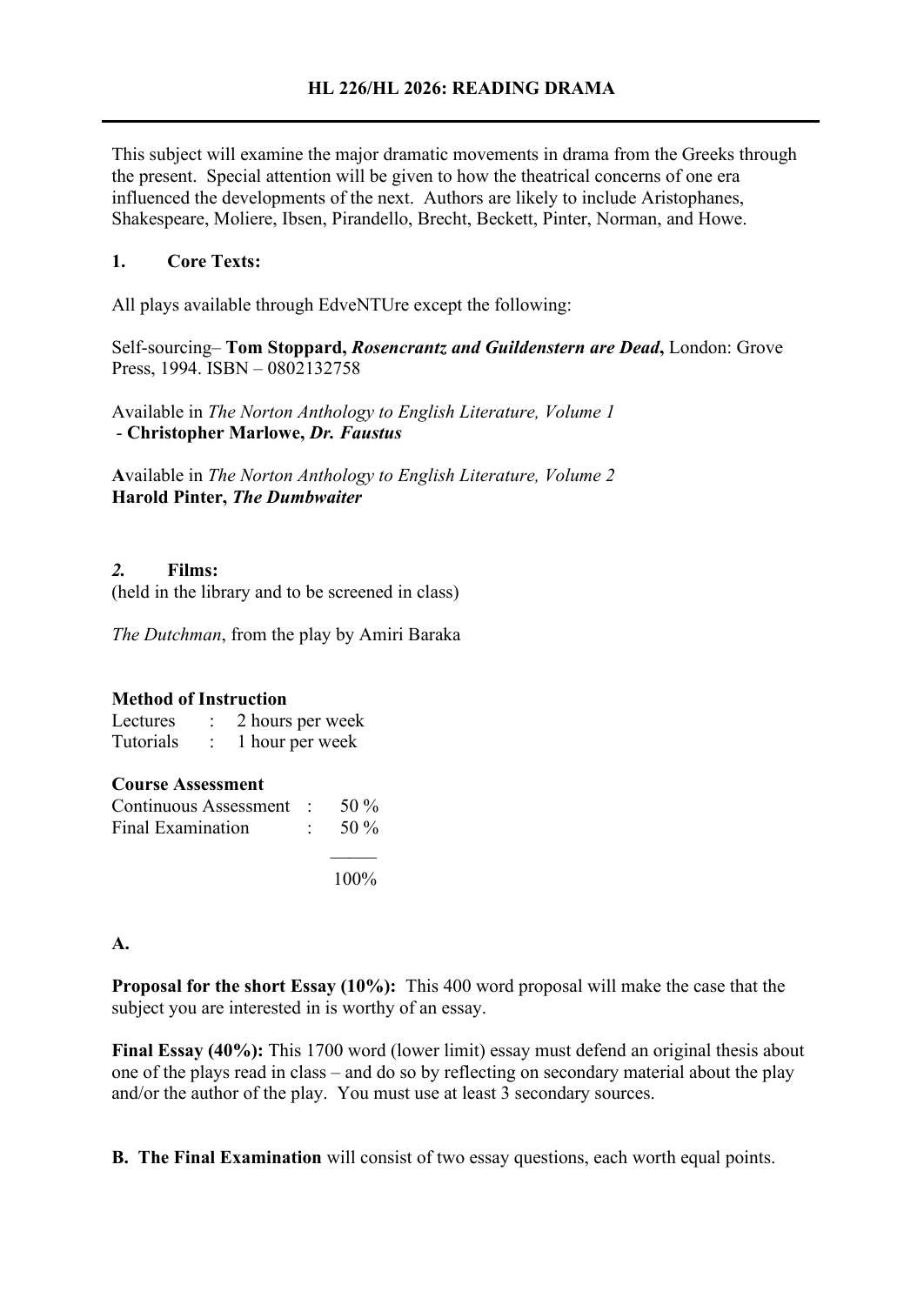This subject will examine the major dramatic movements in drama from the Greeks through the present. Special attention will be given to how the theatrical concerns of one era influenced the developments of the next. Authors are likely to include Aristophanes, Shakespeare, Moliere, Ibsen, Pirandello, Brecht, Beckett, Pinter, Norman, and Howe.

## **1. Core Texts:**

All plays available through EdveNTUre except the following:

Self-sourcing– **Tom Stoppard,** *Rosencrantz and Guildenstern are Dead***,** London: Grove Press, 1994. ISBN – 0802132758

Available in *The Norton Anthology to English Literature, Volume 1* - **Christopher Marlowe,** *Dr. Faustus*

**A**vailable in *The Norton Anthology to English Literature, Volume 2* **Harold Pinter,** *The Dumbwaiter*

## *2.* **Films:**

(held in the library and to be screened in class)

*The Dutchman*, from the play by Amiri Baraka

#### **Method of Instruction**

Lectures : 2 hours per week Tutorials : 1 hour per week

#### **Course Assessment**

| Continuous Assessment : $50\%$ |                   |
|--------------------------------|-------------------|
| Final Examination              | $\therefore$ 50 % |

100%

## **A.**

**Proposal for the short Essay (10%):** This 400 word proposal will make the case that the subject you are interested in is worthy of an essay.

**Final Essay (40%):** This 1700 word (lower limit) essay must defend an original thesis about one of the plays read in class – and do so by reflecting on secondary material about the play and/or the author of the play. You must use at least 3 secondary sources.

**B. The Final Examination** will consist of two essay questions, each worth equal points.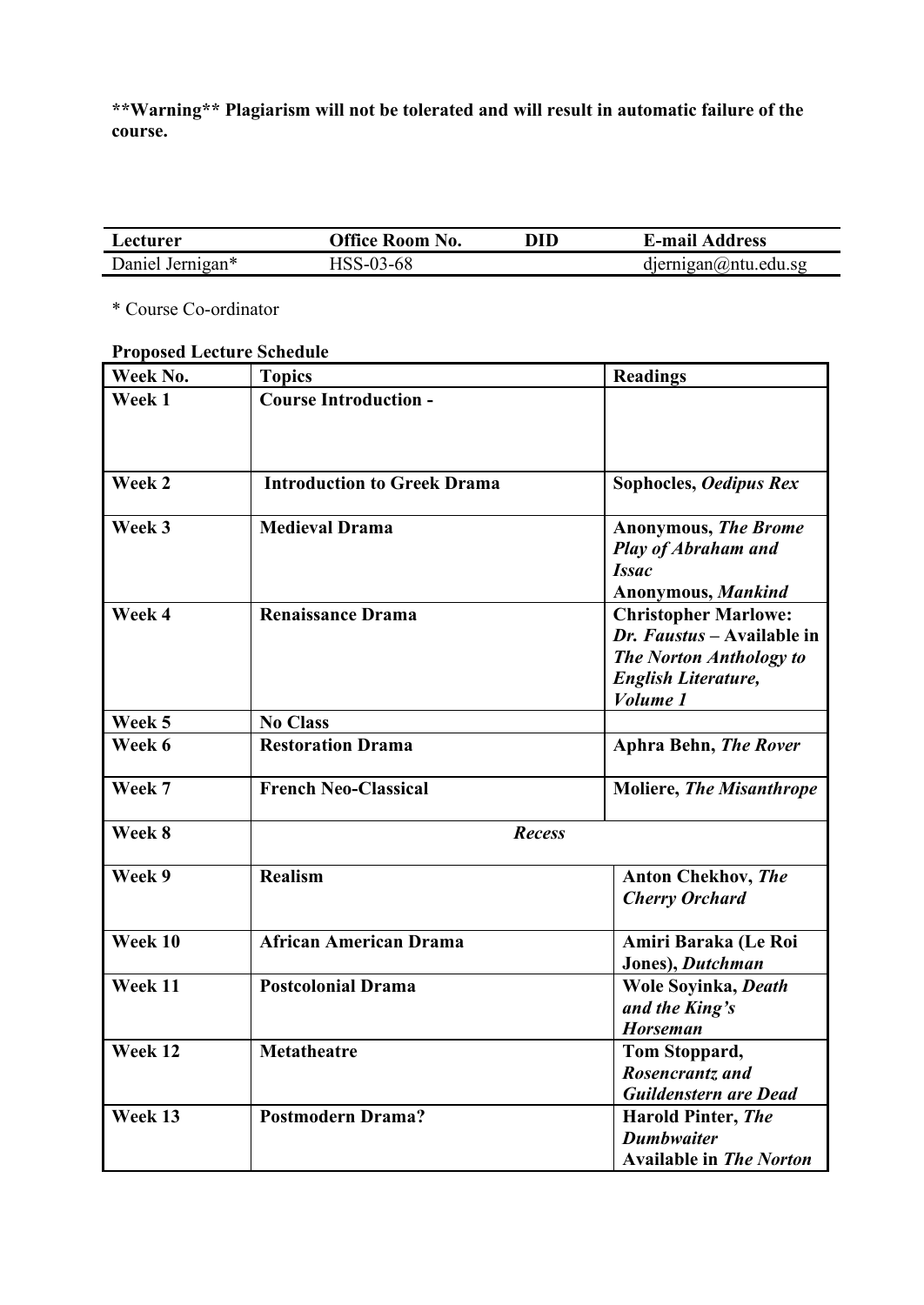**\*\*Warning\*\* Plagiarism will not be tolerated and will result in automatic failure of the course.**

| <b>Lecturer</b>  | Office Room No. | DID | <b>E-mail Address</b>       |
|------------------|-----------------|-----|-----------------------------|
| Daniel Jernigan* | HSS-03-68       |     | $d$ jernigan $@$ ntu.edu.sg |

\* Course Co-ordinator

# **Proposed Lecture Schedule**

| Week No.  | <b>Topics</b>                      | <b>Readings</b>                                                                                                                       |  |
|-----------|------------------------------------|---------------------------------------------------------------------------------------------------------------------------------------|--|
| Week 1    | <b>Course Introduction -</b>       |                                                                                                                                       |  |
| Week 2    | <b>Introduction to Greek Drama</b> | Sophocles, Oedipus Rex                                                                                                                |  |
| Week 3    | <b>Medieval Drama</b>              | <b>Anonymous, The Brome</b><br><b>Play of Abraham and</b><br><b>Issac</b><br>Anonymous, Mankind                                       |  |
| Week 4    | Renaissance Drama                  | <b>Christopher Marlowe:</b><br>Dr. Faustus - Available in<br><b>The Norton Anthology to</b><br><b>English Literature,</b><br>Volume 1 |  |
| Week 5    | <b>No Class</b>                    |                                                                                                                                       |  |
| Week 6    | <b>Restoration Drama</b>           | <b>Aphra Behn, The Rover</b>                                                                                                          |  |
| Week 7    | <b>French Neo-Classical</b>        | <b>Moliere, The Misanthrope</b>                                                                                                       |  |
| Week 8    | <b>Recess</b>                      |                                                                                                                                       |  |
| Week 9    | <b>Realism</b>                     | <b>Anton Chekhov, The</b><br><b>Cherry Orchard</b>                                                                                    |  |
| Week $10$ | <b>African American Drama</b>      | Amiri Baraka (Le Roi<br>Jones), Dutchman                                                                                              |  |
| Week 11   | <b>Postcolonial Drama</b>          | Wole Soyinka, Death<br>and the King's<br><b>Horseman</b>                                                                              |  |
| Week $12$ | <b>Metatheatre</b>                 | Tom Stoppard,<br>Rosencrantz and<br><b>Guildenstern are Dead</b>                                                                      |  |
| Week 13   | <b>Postmodern Drama?</b>           | <b>Harold Pinter, The</b><br><b>Dumbwaiter</b><br><b>Available in The Norton</b>                                                      |  |